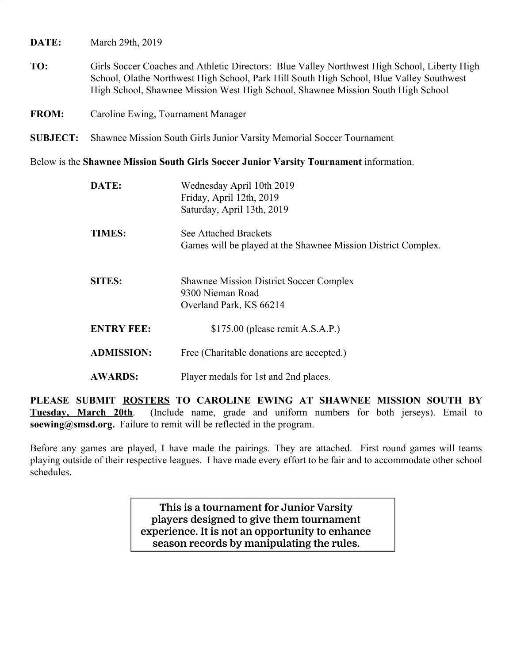**DATE:** March 29th, 2019

**TO:** Girls Soccer Coaches and Athletic Directors: Blue Valley Northwest High School, Liberty High School, Olathe Northwest High School, Park Hill South High School, Blue Valley Southwest High School, Shawnee Mission West High School, Shawnee Mission South High School

**FROM:** Caroline Ewing, Tournament Manager

**SUBJECT:** Shawnee Mission South Girls Junior Varsity Memorial Soccer Tournament

Below is the **Shawnee Mission South Girls Soccer Junior Varsity Tournament** information.

| DATE:             | Wednesday April 10th 2019<br>Friday, April 12th, 2019<br>Saturday, April 13th, 2019           |
|-------------------|-----------------------------------------------------------------------------------------------|
| <b>TIMES:</b>     | See Attached Brackets<br>Games will be played at the Shawnee Mission District Complex.        |
| <b>SITES:</b>     | <b>Shawnee Mission District Soccer Complex</b><br>9300 Nieman Road<br>Overland Park, KS 66214 |
| <b>ENTRY FEE:</b> | $$175.00$ (please remit A.S.A.P.)                                                             |
| <b>ADMISSION:</b> | Free (Charitable donations are accepted.)                                                     |
| <b>AWARDS:</b>    | Player medals for 1st and 2nd places.                                                         |

**PLEASE SUBMIT ROSTERS TO CAROLINE EWING AT SHAWNEE MISSION SOUTH BY Tuesday, March 20th**. (Include name, grade and uniform numbers for both jerseys). Email to **soewing@smsd.org.** Failure to remit will be reflected in the program.

Before any games are played, I have made the pairings. They are attached. First round games will teams playing outside of their respective leagues. I have made every effort to be fair and to accommodate other school schedules.

> **This is a tournament for Junior Varsity players designed to give them tournament experience. It is not an opportunity to enhance season records by manipulating the rules.**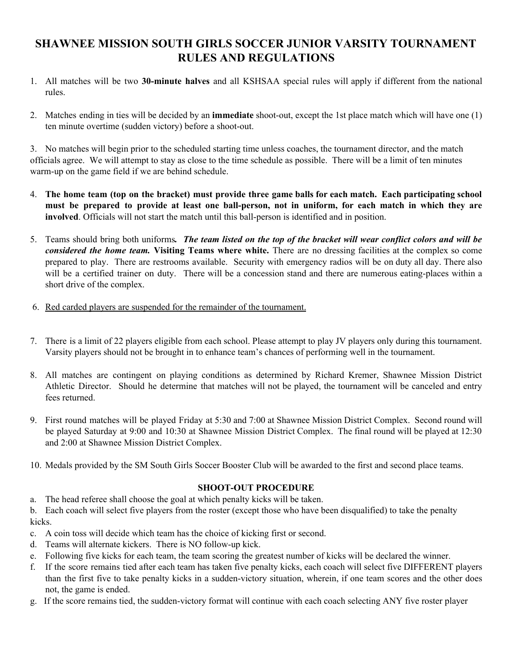## **SHAWNEE MISSION SOUTH GIRLS SOCCER JUNIOR VARSITY TOURNAMENT RULES AND REGULATIONS**

- 1. All matches will be two **30-minute halves** and all KSHSAA special rules will apply if different from the national rules.
- 2. Matches ending in ties will be decided by an **immediate** shoot-out, except the 1st place match which will have one (1) ten minute overtime (sudden victory) before a shoot-out.

3. No matches will begin prior to the scheduled starting time unless coaches, the tournament director, and the match officials agree. We will attempt to stay as close to the time schedule as possible. There will be a limit of ten minutes warm-up on the game field if we are behind schedule.

- 4. The home team (top on the bracket) must provide three game balls for each match. Each participating school must be prepared to provide at least one ball-person, not in uniform, for each match in which they are **involved**. Officials will not start the match until this ball-person is identified and in position.
- 5. Teams should bring both uniforms. The team listed on the top of the bracket will wear conflict colors and will be *considered the home team.* **Visiting Teams where white.** There are no dressing facilities at the complex so come prepared to play. There are restrooms available. Security with emergency radios will be on duty all day. There also will be a certified trainer on duty. There will be a concession stand and there are numerous eating-places within a short drive of the complex.
- 6. Red carded players are suspended for the remainder of the tournament.
- 7. There is a limit of 22 players eligible from each school. Please attempt to play JV players only during this tournament. Varsity players should not be brought in to enhance team's chances of performing well in the tournament.
- 8. All matches are contingent on playing conditions as determined by Richard Kremer, Shawnee Mission District Athletic Director. Should he determine that matches will not be played, the tournament will be canceled and entry fees returned.
- 9. First round matches will be played Friday at 5:30 and 7:00 at Shawnee Mission District Complex. Second round will be played Saturday at 9:00 and 10:30 at Shawnee Mission District Complex. The final round will be played at 12:30 and 2:00 at Shawnee Mission District Complex.
- 10. Medals provided by the SM South Girls Soccer Booster Club will be awarded to the first and second place teams.

## **SHOOT-OUT PROCEDURE**

a. The head referee shall choose the goal at which penalty kicks will be taken.

b. Each coach will select five players from the roster (except those who have been disqualified) to take the penalty kicks.

- c. A coin toss will decide which team has the choice of kicking first or second.
- d. Teams will alternate kickers. There is NO follow-up kick.
- e. Following five kicks for each team, the team scoring the greatest number of kicks will be declared the winner.
- f. If the score remains tied after each team has taken five penalty kicks, each coach will select five DIFFERENT players than the first five to take penalty kicks in a sudden-victory situation, wherein, if one team scores and the other does not, the game is ended.
- g. If the score remains tied, the sudden-victory format will continue with each coach selecting ANY five roster player